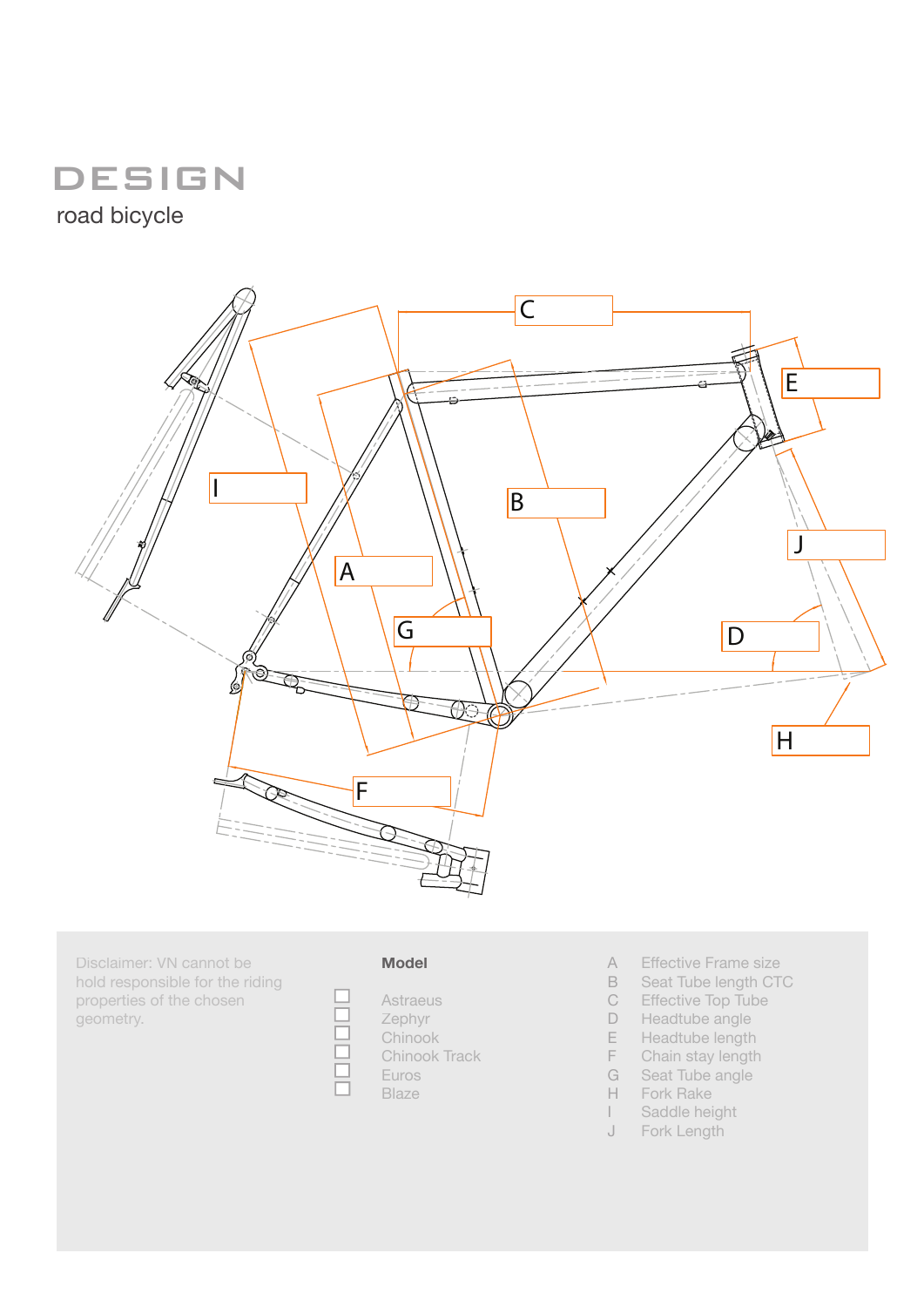## **DESIGN**

road bicycle



Disclaimer: VN cannot be hold responsible for the riding properties of the chosen geometry.

| vio | 10 | $\sqrt{2}$ |
|-----|----|------------|



- Effective Frame size A
- Seat Tube length CTC B
- Effective Top Tube C
- Headtube angle D
- Headtube length E
- Chain stay length F
- Seat Tube angle G
- Fork Rake H
- Saddle height I
- Fork Length J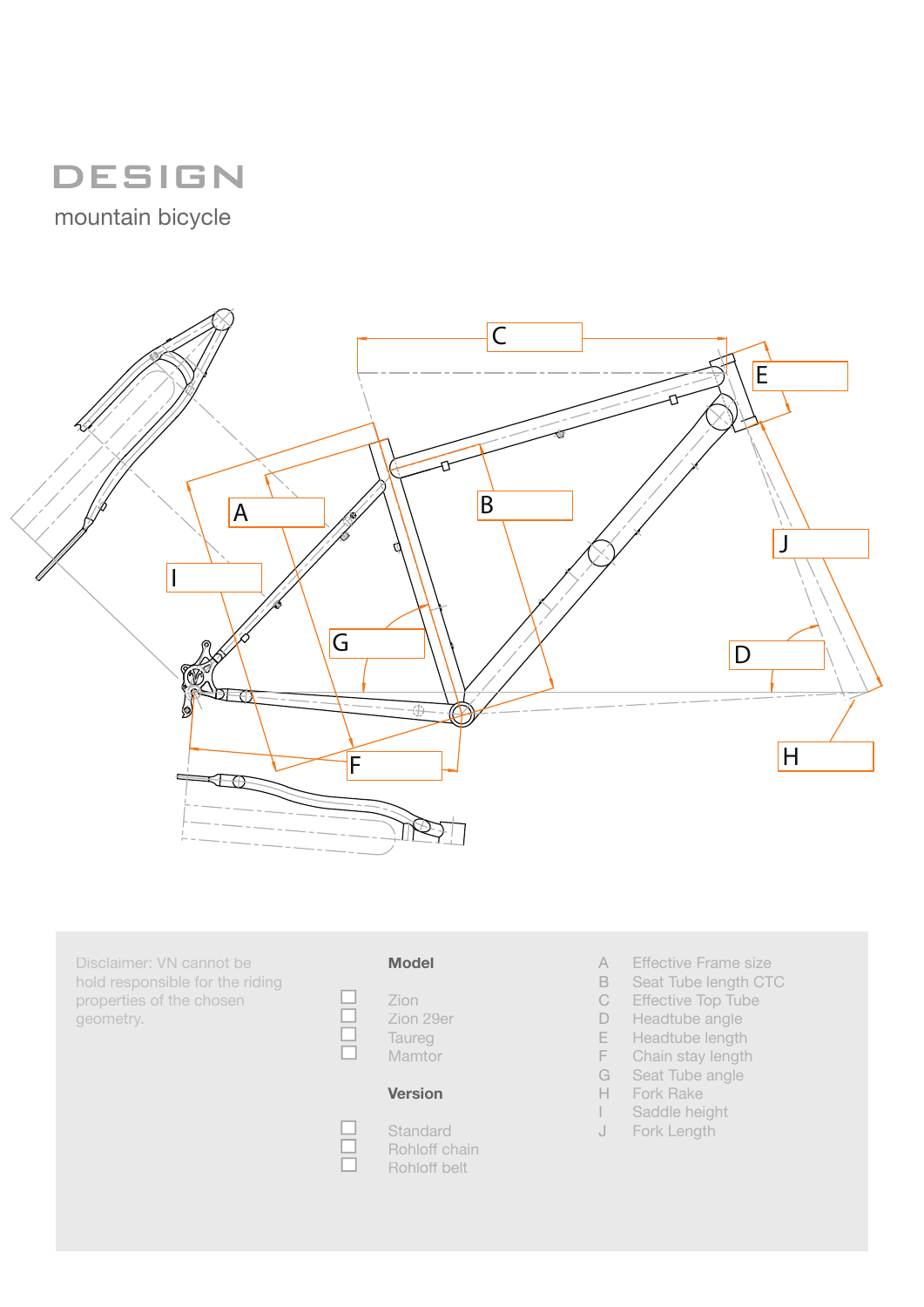# DESIGN

mountain bicycle



Disclaimer: VN cannot be hold responsible for the riding properties of the chosen geometry.

### **Model**



П  $\Box$ 

#### **Version**

**Standard** Rohloff chain Rohloff belt

- Effective Frame size A
- Seat Tube length CTC B
- Effective Top Tube C
- Headtube angle D
- Headtube length E
- Chain stay length F
- Seat Tube angle G
- Fork Rake H
- Saddle height  $\mathbf{I}$ J
- Fork Length